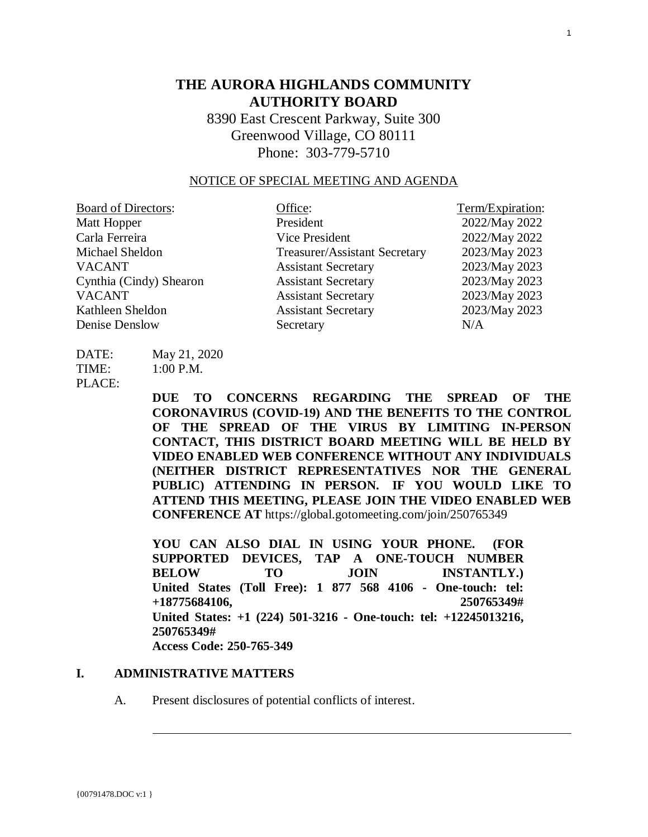# **THE AURORA HIGHLANDS COMMUNITY AUTHORITY BOARD**

8390 East Crescent Parkway, Suite 300 Greenwood Village, CO 80111 Phone: 303-779-5710

#### NOTICE OF SPECIAL MEETING AND AGENDA

| <b>Board of Directors:</b> | Office:                              | Term/Expiration: |
|----------------------------|--------------------------------------|------------------|
| Matt Hopper                | President                            | 2022/May 2022    |
| Carla Ferreira             | Vice President                       | 2022/May 2022    |
| Michael Sheldon            | <b>Treasurer/Assistant Secretary</b> | 2023/May 2023    |
| <b>VACANT</b>              | <b>Assistant Secretary</b>           | 2023/May 2023    |
| Cynthia (Cindy) Shearon    | <b>Assistant Secretary</b>           | 2023/May 2023    |
| <b>VACANT</b>              | <b>Assistant Secretary</b>           | 2023/May 2023    |
| Kathleen Sheldon           | <b>Assistant Secretary</b>           | 2023/May 2023    |
| Denise Denslow             | Secretary                            | N/A              |

DATE: May 21, 2020  $TIME: 1:00 P.M.$ 

PLACE:

**DUE TO CONCERNS REGARDING THE SPREAD OF THE CORONAVIRUS (COVID-19) AND THE BENEFITS TO THE CONTROL OF THE SPREAD OF THE VIRUS BY LIMITING IN-PERSON CONTACT, THIS DISTRICT BOARD MEETING WILL BE HELD BY VIDEO ENABLED WEB CONFERENCE WITHOUT ANY INDIVIDUALS (NEITHER DISTRICT REPRESENTATIVES NOR THE GENERAL PUBLIC) ATTENDING IN PERSON. IF YOU WOULD LIKE TO ATTEND THIS MEETING, PLEASE JOIN THE VIDEO ENABLED WEB CONFERENCE AT** https://global.gotomeeting.com/join/250765349

**YOU CAN ALSO DIAL IN USING YOUR PHONE. (FOR SUPPORTED DEVICES, TAP A ONE-TOUCH NUMBER BELOW TO JOIN INSTANTLY.) United States (Toll Free): 1 877 568 4106 - One-touch: tel: +18775684106, 250765349# United States: +1 (224) 501-3216 - One-touch: tel: +12245013216, 250765349# Access Code: 250-765-349** 

#### **I. ADMINISTRATIVE MATTERS**

A. Present disclosures of potential conflicts of interest.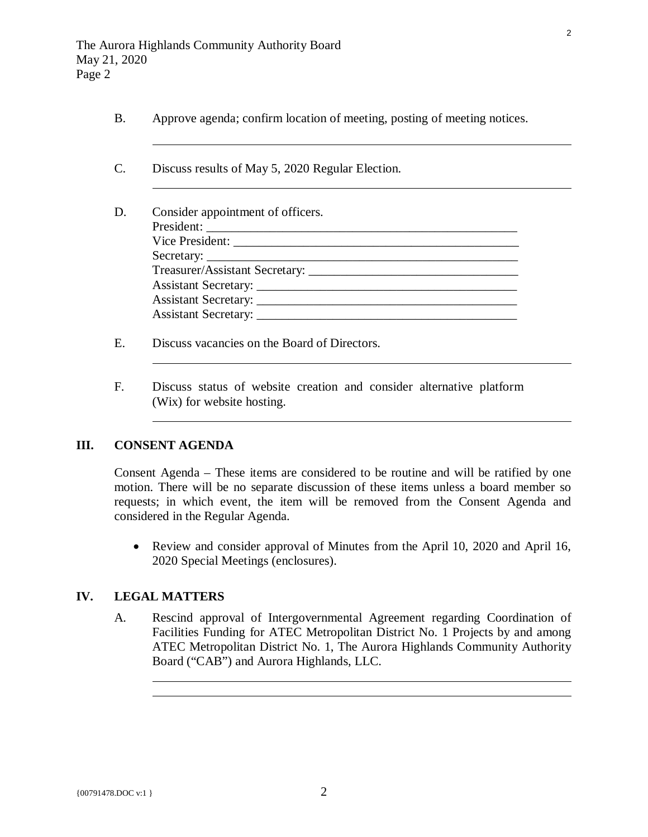- B. Approve agenda; confirm location of meeting, posting of meeting notices.
- C. Discuss results of May 5, 2020 Regular Election.
- D. Consider appointment of officers. President: \_\_\_\_\_\_\_\_\_\_\_\_\_\_\_\_\_\_\_\_\_\_\_\_\_\_\_\_\_\_\_\_\_\_\_\_\_\_\_\_\_\_\_\_\_\_\_\_\_ Vice President: Secretary: Treasurer/Assistant Secretary: \_\_\_\_\_\_\_\_\_\_\_\_\_\_\_\_\_\_\_\_\_\_\_\_\_\_\_\_\_\_\_\_\_ Assistant Secretary: Assistant Secretary: \_\_\_\_\_\_\_\_\_\_\_\_\_\_\_\_\_\_\_\_\_\_\_\_\_\_\_\_\_\_\_\_\_\_\_\_\_\_\_\_\_ Assistant Secretary: \_\_\_\_\_\_\_\_\_\_\_\_\_\_\_\_\_\_\_\_\_\_\_\_\_\_\_\_\_\_\_\_\_\_\_\_\_\_\_\_\_
- E. Discuss vacancies on the Board of Directors.
- F. Discuss status of website creation and consider alternative platform (Wix) for website hosting.

## **III. CONSENT AGENDA**

 $\overline{a}$ 

 $\overline{a}$ 

 $\overline{a}$ 

 $\overline{a}$ 

Consent Agenda – These items are considered to be routine and will be ratified by one motion. There will be no separate discussion of these items unless a board member so requests; in which event, the item will be removed from the Consent Agenda and considered in the Regular Agenda.

• Review and consider approval of Minutes from the April 10, 2020 and April 16, 2020 Special Meetings (enclosures).

## **IV. LEGAL MATTERS**

 $\overline{a}$ 

A. Rescind approval of Intergovernmental Agreement regarding Coordination of Facilities Funding for ATEC Metropolitan District No. 1 Projects by and among ATEC Metropolitan District No. 1, The Aurora Highlands Community Authority Board ("CAB") and Aurora Highlands, LLC.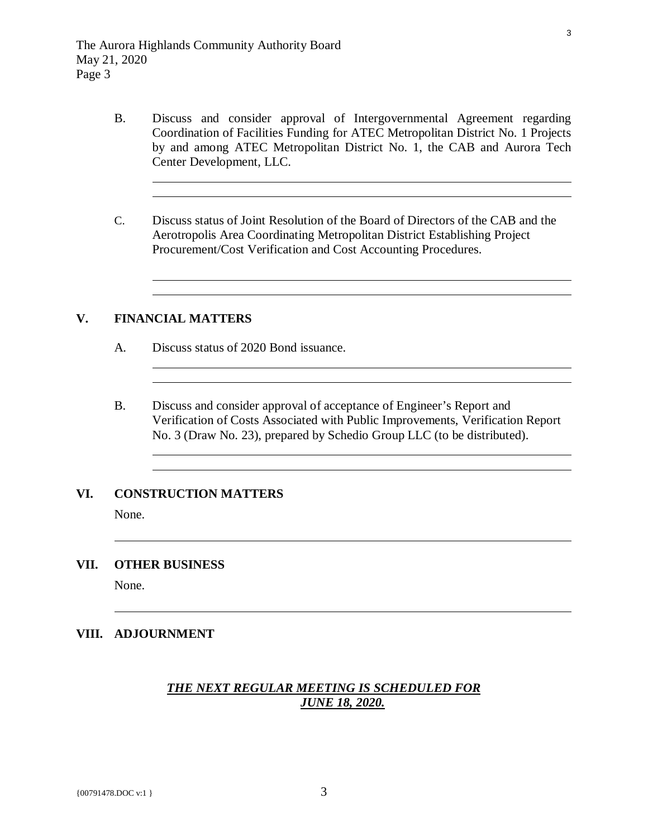- B. Discuss and consider approval of Intergovernmental Agreement regarding Coordination of Facilities Funding for ATEC Metropolitan District No. 1 Projects by and among ATEC Metropolitan District No. 1, the CAB and Aurora Tech Center Development, LLC.
- C. Discuss status of Joint Resolution of the Board of Directors of the CAB and the Aerotropolis Area Coordinating Metropolitan District Establishing Project Procurement/Cost Verification and Cost Accounting Procedures.

## **V. FINANCIAL MATTERS**

 $\overline{a}$ 

 $\overline{a}$ 

 $\overline{a}$ 

 $\overline{a}$ 

- A. Discuss status of 2020 Bond issuance.
- B. Discuss and consider approval of acceptance of Engineer's Report and Verification of Costs Associated with Public Improvements, Verification Report No. 3 (Draw No. 23), prepared by Schedio Group LLC (to be distributed).

#### **VI. CONSTRUCTION MATTERS**

None.

 $\overline{a}$ 

 $\overline{a}$ 

#### **VII. OTHER BUSINESS**

None.

## **VIII. ADJOURNMENT**

## *THE NEXT REGULAR MEETING IS SCHEDULED FOR JUNE 18, 2020.*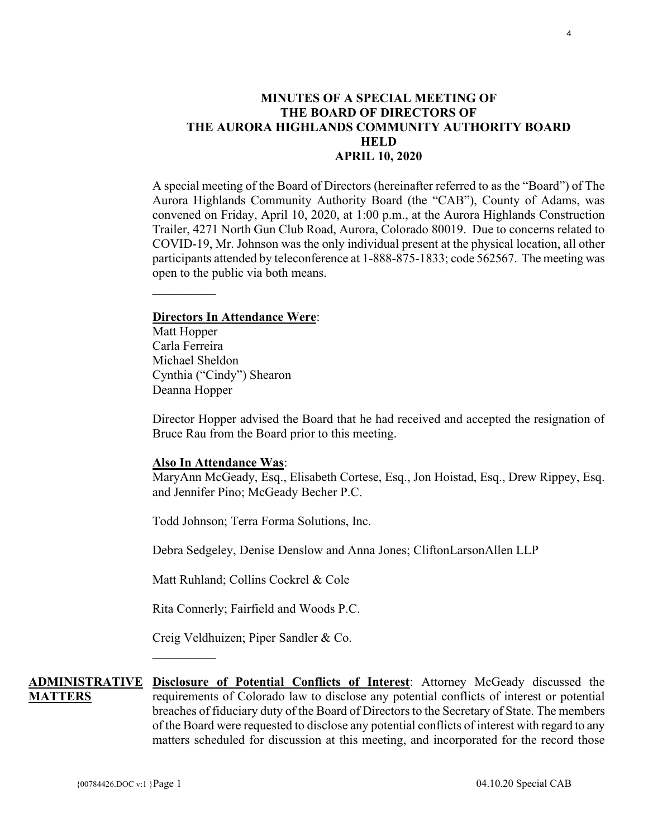## <span id="page-3-0"></span>**MINUTES OF A SPECIAL MEETING OF THE BOARD OF DIRECTORS OF THE AURORA HIGHLANDS COMMUNITY AUTHORITY BOARD HELD APRIL 10, 2020**

A special meeting of the Board of Directors (hereinafter referred to as the "Board") of The Aurora Highlands Community Authority Board (the "CAB"), County of Adams, was convened on Friday, April 10, 2020, at 1:00 p.m., at the Aurora Highlands Construction Trailer, 4271 North Gun Club Road, Aurora, Colorado 80019. Due to concerns related to COVID-19, Mr. Johnson was the only individual present at the physical location, all other participants attended by teleconference at 1-888-875-1833; code 562567. The meeting was open to the public via both means.

#### **Directors In Attendance Were**:

Matt Hopper Carla Ferreira Michael Sheldon Cynthia ("Cindy") Shearon Deanna Hopper

 $\mathcal{L}_\text{max}$ 

Director Hopper advised the Board that he had received and accepted the resignation of Bruce Rau from the Board prior to this meeting.

#### **Also In Attendance Was**:

MaryAnn McGeady, Esq., Elisabeth Cortese, Esq., Jon Hoistad, Esq., Drew Rippey, Esq. and Jennifer Pino; McGeady Becher P.C.

Todd Johnson; Terra Forma Solutions, Inc.

Debra Sedgeley, Denise Denslow and Anna Jones; CliftonLarsonAllen LLP

Matt Ruhland; Collins Cockrel & Cole

Rita Connerly; Fairfield and Woods P.C.

Creig Veldhuizen; Piper Sandler & Co.

 $\mathcal{L}_\text{max}$ 

**ADMINISTRATIVE Disclosure of Potential Conflicts of Interest**: Attorney McGeady discussed the **MATTERS** requirements of Colorado law to disclose any potential conflicts of interest or potential breaches of fiduciary duty of the Board of Directors to the Secretary of State. The members of the Board were requested to disclose any potential conflicts of interest with regard to any matters scheduled for discussion at this meeting, and incorporated for the record those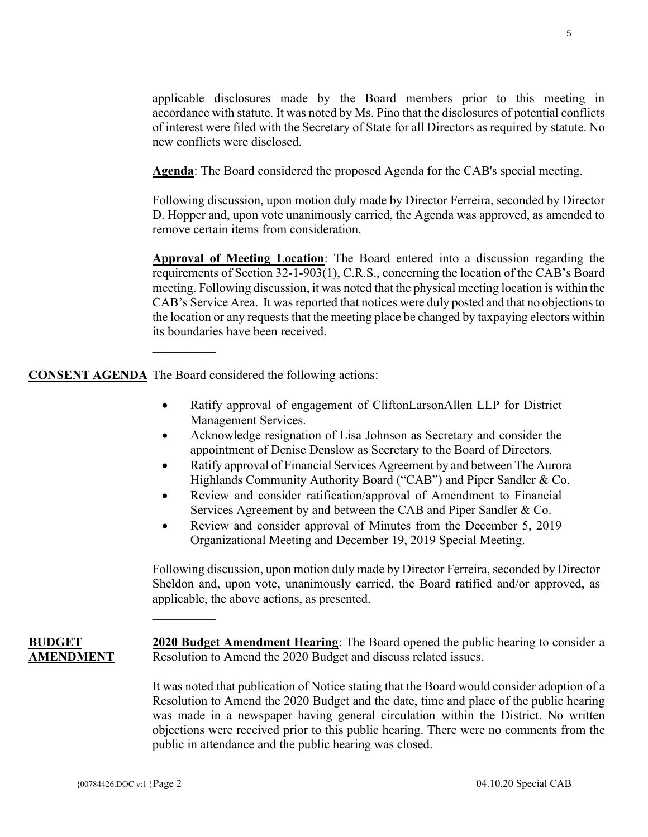applicable disclosures made by the Board members prior to this meeting in accordance with statute. It was noted by Ms. Pino that the disclosures of potential conflicts of interest were filed with the Secretary of State for all Directors as required by statute. No new conflicts were disclosed.

**Agenda**: The Board considered the proposed Agenda for the CAB's special meeting.

Following discussion, upon motion duly made by Director Ferreira, seconded by Director D. Hopper and, upon vote unanimously carried, the Agenda was approved, as amended to remove certain items from consideration.

**Approval of Meeting Location**: The Board entered into a discussion regarding the requirements of Section 32-1-903(1), C.R.S., concerning the location of the CAB's Board meeting. Following discussion, it was noted that the physical meeting location is within the CAB's Service Area. It was reported that notices were duly posted and that no objections to the location or any requests that the meeting place be changed by taxpaying electors within its boundaries have been received.

**CONSENT AGENDA** The Board considered the following actions:

 $\mathcal{L}_\text{max}$ 

- Ratify approval of engagement of CliftonLarsonAllen LLP for District Management Services.
- Acknowledge resignation of Lisa Johnson as Secretary and consider the appointment of Denise Denslow as Secretary to the Board of Directors.
- Ratify approval of Financial Services Agreement by and between The Aurora Highlands Community Authority Board ("CAB") and Piper Sandler & Co.
- Review and consider ratification/approval of Amendment to Financial Services Agreement by and between the CAB and Piper Sandler & Co.
- Review and consider approval of Minutes from the December 5, 2019 Organizational Meeting and December 19, 2019 Special Meeting.

Following discussion, upon motion duly made by Director Ferreira, seconded by Director Sheldon and, upon vote, unanimously carried, the Board ratified and/or approved, as applicable, the above actions, as presented.

**BUDGET AMENDMENT 2020 Budget Amendment Hearing**: The Board opened the public hearing to consider a Resolution to Amend the 2020 Budget and discuss related issues.

> It was noted that publication of Notice stating that the Board would consider adoption of a Resolution to Amend the 2020 Budget and the date, time and place of the public hearing was made in a newspaper having general circulation within the District. No written objections were received prior to this public hearing. There were no comments from the public in attendance and the public hearing was closed.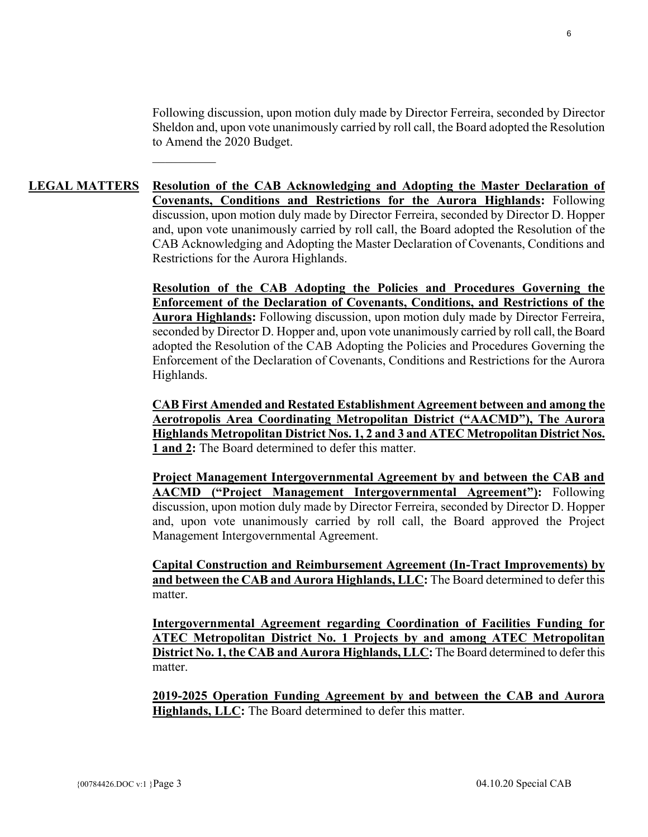Following discussion, upon motion duly made by Director Ferreira, seconded by Director Sheldon and, upon vote unanimously carried by roll call, the Board adopted the Resolution to Amend the 2020 Budget.

## **LEGAL MATTERS Resolution of the CAB Acknowledging and Adopting the Master Declaration of Covenants, Conditions and Restrictions for the Aurora Highlands:** Following discussion, upon motion duly made by Director Ferreira, seconded by Director D. Hopper and, upon vote unanimously carried by roll call, the Board adopted the Resolution of the CAB Acknowledging and Adopting the Master Declaration of Covenants, Conditions and Restrictions for the Aurora Highlands.

**Resolution of the CAB Adopting the Policies and Procedures Governing the Enforcement of the Declaration of Covenants, Conditions, and Restrictions of the Aurora Highlands:** Following discussion, upon motion duly made by Director Ferreira, seconded by Director D. Hopper and, upon vote unanimously carried by roll call, the Board adopted the Resolution of the CAB Adopting the Policies and Procedures Governing the Enforcement of the Declaration of Covenants, Conditions and Restrictions for the Aurora Highlands.

**CAB First Amended and Restated Establishment Agreement between and among the Aerotropolis Area Coordinating Metropolitan District ("AACMD"), The Aurora Highlands Metropolitan District Nos. 1, 2 and 3 and ATEC Metropolitan District Nos. 1 and 2:** The Board determined to defer this matter.

**Project Management Intergovernmental Agreement by and between the CAB and AACMD ("Project Management Intergovernmental Agreement"):** Following discussion, upon motion duly made by Director Ferreira, seconded by Director D. Hopper and, upon vote unanimously carried by roll call, the Board approved the Project Management Intergovernmental Agreement.

**Capital Construction and Reimbursement Agreement (In-Tract Improvements) by and between the CAB and Aurora Highlands, LLC:** The Board determined to defer this matter.

**Intergovernmental Agreement regarding Coordination of Facilities Funding for ATEC Metropolitan District No. 1 Projects by and among ATEC Metropolitan District No. 1, the CAB and Aurora Highlands, LLC:** The Board determined to defer this matter.

**2019-2025 Operation Funding Agreement by and between the CAB and Aurora Highlands, LLC:** The Board determined to defer this matter.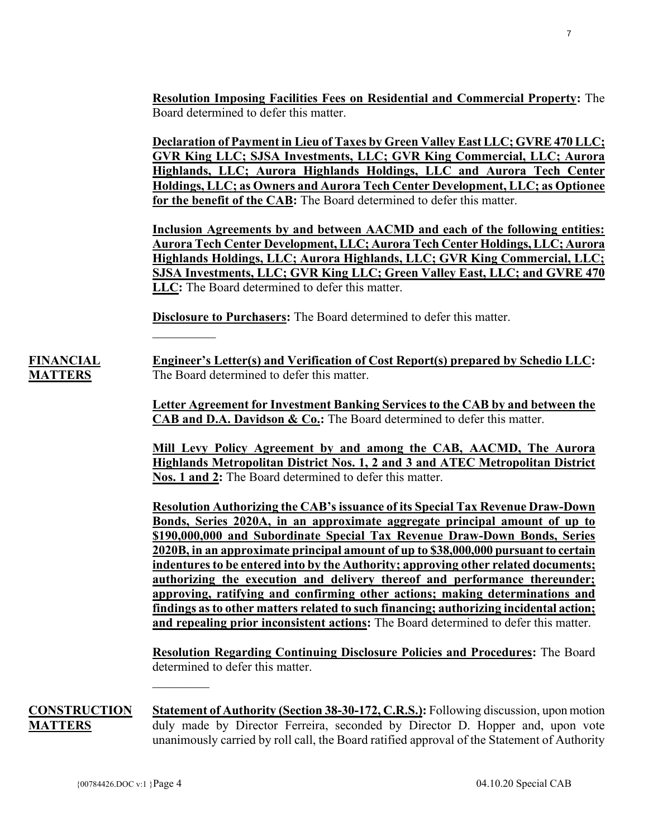**Resolution Imposing Facilities Fees on Residential and Commercial Property:** The Board determined to defer this matter.

**Declaration of Payment in Lieu of Taxes by Green Valley East LLC; GVRE 470 LLC; GVR King LLC; SJSA Investments, LLC; GVR King Commercial, LLC; Aurora Highlands, LLC; Aurora Highlands Holdings, LLC and Aurora Tech Center Holdings, LLC; as Owners and Aurora Tech Center Development, LLC; as Optionee for the benefit of the CAB:** The Board determined to defer this matter.

**Inclusion Agreements by and between AACMD and each of the following entities: Aurora Tech Center Development, LLC; Aurora Tech Center Holdings, LLC; Aurora Highlands Holdings, LLC; Aurora Highlands, LLC; GVR King Commercial, LLC; SJSA Investments, LLC; GVR King LLC; Green Valley East, LLC; and GVRE 470 LLC:** The Board determined to defer this matter.

**Disclosure to Purchasers:** The Board determined to defer this matter.

**FINANCIAL MATTERS Engineer's Letter(s) and Verification of Cost Report(s) prepared by Schedio LLC:**  The Board determined to defer this matter.

> **Letter Agreement for Investment Banking Services to the CAB by and between the CAB and D.A. Davidson & Co.:** The Board determined to defer this matter.

> **Mill Levy Policy Agreement by and among the CAB, AACMD, The Aurora Highlands Metropolitan District Nos. 1, 2 and 3 and ATEC Metropolitan District Nos. 1 and 2:** The Board determined to defer this matter.

> **Resolution Authorizing the CAB's issuance of its Special Tax Revenue Draw-Down Bonds, Series 2020A, in an approximate aggregate principal amount of up to \$190,000,000 and Subordinate Special Tax Revenue Draw-Down Bonds, Series 2020B, in an approximate principal amount of up to \$38,000,000 pursuant to certain indentures to be entered into by the Authority; approving other related documents; authorizing the execution and delivery thereof and performance thereunder; approving, ratifying and confirming other actions; making determinations and findings as to other matters related to such financing; authorizing incidental action; and repealing prior inconsistent actions:** The Board determined to defer this matter.

> **Resolution Regarding Continuing Disclosure Policies and Procedures:** The Board determined to defer this matter.

**CONSTRUCTION MATTERS Statement of Authority (Section 38-30-172, C.R.S.):** Following discussion, upon motion duly made by Director Ferreira, seconded by Director D. Hopper and, upon vote unanimously carried by roll call, the Board ratified approval of the Statement of Authority

 $\mathcal{L}_\text{max}$ 

 $\mathcal{L}_\text{max}$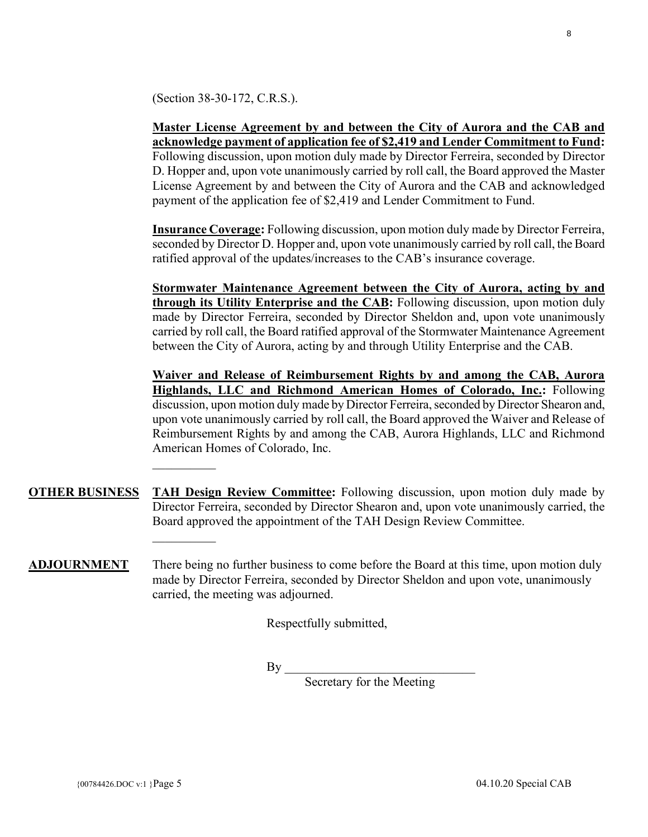(Section 38-30-172, C.R.S.).

 $\mathcal{L}_\text{max}$ 

 $\mathcal{L}_\text{max}$ 

**Master License Agreement by and between the City of Aurora and the CAB and acknowledge payment of application fee of \$2,419 and Lender Commitment to Fund:** Following discussion, upon motion duly made by Director Ferreira, seconded by Director D. Hopper and, upon vote unanimously carried by roll call, the Board approved the Master License Agreement by and between the City of Aurora and the CAB and acknowledged payment of the application fee of \$2,419 and Lender Commitment to Fund.

**Insurance Coverage:** Following discussion, upon motion duly made by Director Ferreira, seconded by Director D. Hopper and, upon vote unanimously carried by roll call, the Board ratified approval of the updates/increases to the CAB's insurance coverage.

**Stormwater Maintenance Agreement between the City of Aurora, acting by and through its Utility Enterprise and the CAB:** Following discussion, upon motion duly made by Director Ferreira, seconded by Director Sheldon and, upon vote unanimously carried by roll call, the Board ratified approval of the Stormwater Maintenance Agreement between the City of Aurora, acting by and through Utility Enterprise and the CAB.

**Waiver and Release of Reimbursement Rights by and among the CAB, Aurora Highlands, LLC and Richmond American Homes of Colorado, Inc.:** Following discussion, upon motion duly made by Director Ferreira, seconded by Director Shearon and, upon vote unanimously carried by roll call, the Board approved the Waiver and Release of Reimbursement Rights by and among the CAB, Aurora Highlands, LLC and Richmond American Homes of Colorado, Inc.

**OTHER BUSINESS TAH Design Review Committee:** Following discussion, upon motion duly made by Director Ferreira, seconded by Director Shearon and, upon vote unanimously carried, the Board approved the appointment of the TAH Design Review Committee.

**ADJOURNMENT** There being no further business to come before the Board at this time, upon motion duly made by Director Ferreira, seconded by Director Sheldon and upon vote, unanimously carried, the meeting was adjourned.

Respectfully submitted,

 $By \fbox{}$ 

Secretary for the Meeting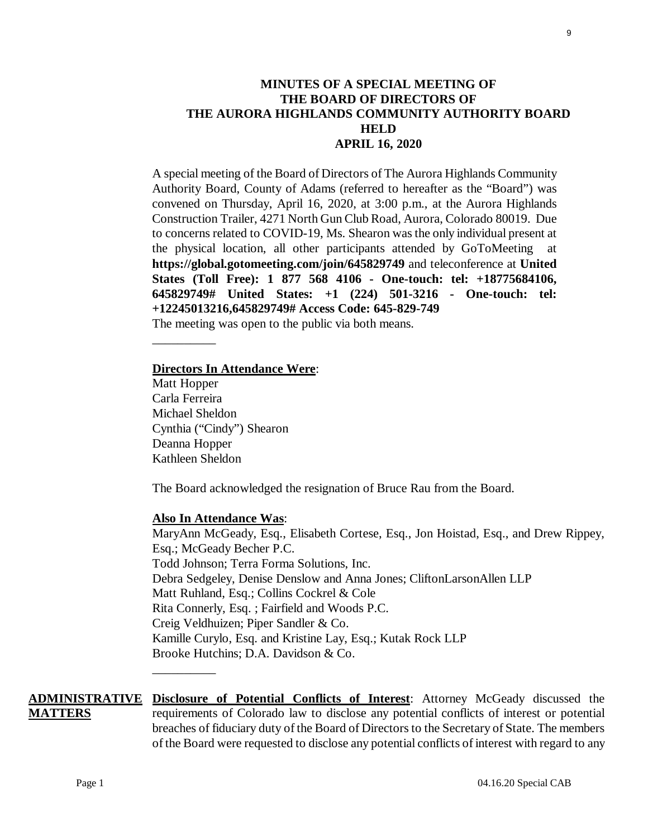# MaryAnn McGeady, Esq., Elisabeth Cortese, Esq., Jon Hoistad, Esq., and Drew Rippey,

# Esq.; McGeady Becher P.C. Todd Johnson; Terra Forma Solutions, Inc. Debra Sedgeley, Denise Denslow and Anna Jones; CliftonLarsonAllen LLP Matt Ruhland, Esq.; Collins Cockrel & Cole Rita Connerly, Esq. ; Fairfield and Woods P.C. Creig Veldhuizen; Piper Sandler & Co. Kamille Curylo, Esq. and Kristine Lay, Esq.; Kutak Rock LLP Brooke Hutchins; D.A. Davidson & Co. \_\_\_\_\_\_\_\_\_\_

**ADMINISTRATIVE Disclosure of Potential Conflicts of Interest**: Attorney McGeady discussed the **MATTERS** requirements of Colorado law to disclose any potential conflicts of interest or potential breaches of fiduciary duty of the Board of Directors to the Secretary of State. The members of the Board were requested to disclose any potential conflicts of interest with regard to any

## **MINUTES OF A SPECIAL MEETING OF THE BOARD OF DIRECTORS OF THE AURORA HIGHLANDS COMMUNITY AUTHORITY BOARD HELD APRIL 16, 2020**

A special meeting of the Board of Directors of The Aurora Highlands Community Authority Board, County of Adams (referred to hereafter as the "Board") was convened on Thursday, April 16, 2020, at 3:00 p.m., at the Aurora Highlands Construction Trailer, 4271 North Gun Club Road, Aurora, Colorado 80019. Due to concerns related to COVID-19, Ms. Shearon was the only individual present at the physical location, all other participants attended by GoToMeeting at **https://global.gotomeeting.com/join/645829749** and teleconference at **United States (Toll Free): 1 877 568 4106 - One-touch: tel: +18775684106, 645829749# United States: +1 (224) 501-3216 - One-touch: tel: +12245013216,645829749# Access Code: 645-829-749** 

The meeting was open to the public via both means.

#### **Directors In Attendance Were**:

Matt Hopper Carla Ferreira Michael Sheldon Cynthia ("Cindy") Shearon Deanna Hopper Kathleen Sheldon

\_\_\_\_\_\_\_\_\_\_

The Board acknowledged the resignation of Bruce Rau from the Board.

#### **Also In Attendance Was**: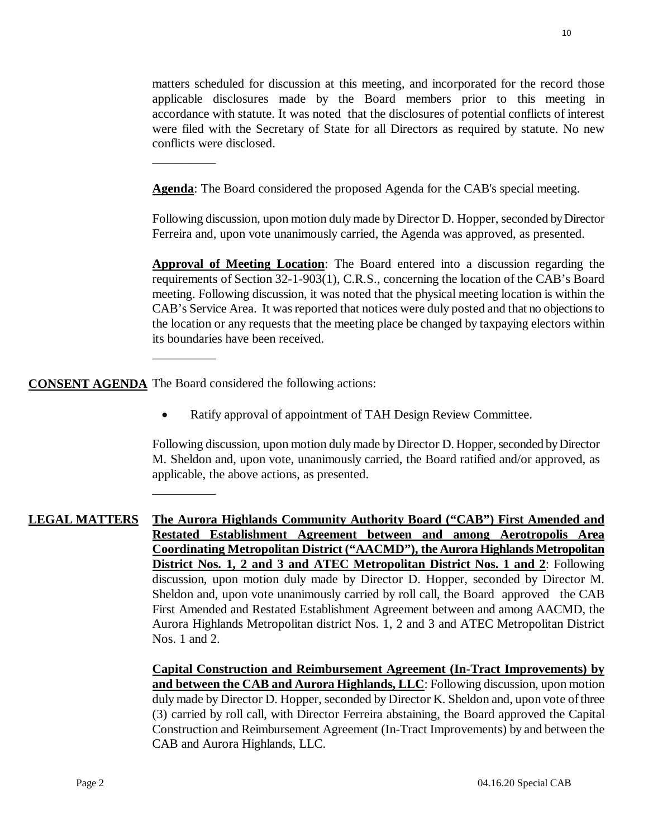matters scheduled for discussion at this meeting, and incorporated for the record those applicable disclosures made by the Board members prior to this meeting in accordance with statute. It was noted that the disclosures of potential conflicts of interest were filed with the Secretary of State for all Directors as required by statute. No new conflicts were disclosed.

**Agenda**: The Board considered the proposed Agenda for the CAB's special meeting.

Following discussion, upon motion duly made by Director D. Hopper, seconded by Director Ferreira and, upon vote unanimously carried, the Agenda was approved, as presented.

**Approval of Meeting Location**: The Board entered into a discussion regarding the requirements of Section 32-1-903(1), C.R.S., concerning the location of the CAB's Board meeting. Following discussion, it was noted that the physical meeting location is within the CAB's Service Area. It was reported that notices were duly posted and that no objections to the location or any requests that the meeting place be changed by taxpaying electors within its boundaries have been received.

**CONSENT AGENDA** The Board considered the following actions:

\_\_\_\_\_\_\_\_\_\_

\_\_\_\_\_\_\_\_\_\_

\_\_\_\_\_\_\_\_\_\_

• Ratify approval of appointment of TAH Design Review Committee.

Following discussion, upon motion duly made by Director D. Hopper, seconded by Director M. Sheldon and, upon vote, unanimously carried, the Board ratified and/or approved, as applicable, the above actions, as presented.

**LEGAL MATTERS The Aurora Highlands Community Authority Board ("CAB") First Amended and Restated Establishment Agreement between and among Aerotropolis Area Coordinating Metropolitan District ("AACMD"), the Aurora Highlands Metropolitan District Nos. 1, 2 and 3 and ATEC Metropolitan District Nos. 1 and 2**: Following discussion, upon motion duly made by Director D. Hopper, seconded by Director M. Sheldon and, upon vote unanimously carried by roll call, the Board approved the CAB First Amended and Restated Establishment Agreement between and among AACMD, the Aurora Highlands Metropolitan district Nos. 1, 2 and 3 and ATEC Metropolitan District Nos. 1 and 2.

> **Capital Construction and Reimbursement Agreement (In-Tract Improvements) by and between the CAB and Aurora Highlands, LLC**: Following discussion, upon motion duly made by Director D. Hopper, seconded by Director K. Sheldon and, upon vote of three (3) carried by roll call, with Director Ferreira abstaining, the Board approved the Capital Construction and Reimbursement Agreement (In-Tract Improvements) by and between the CAB and Aurora Highlands, LLC.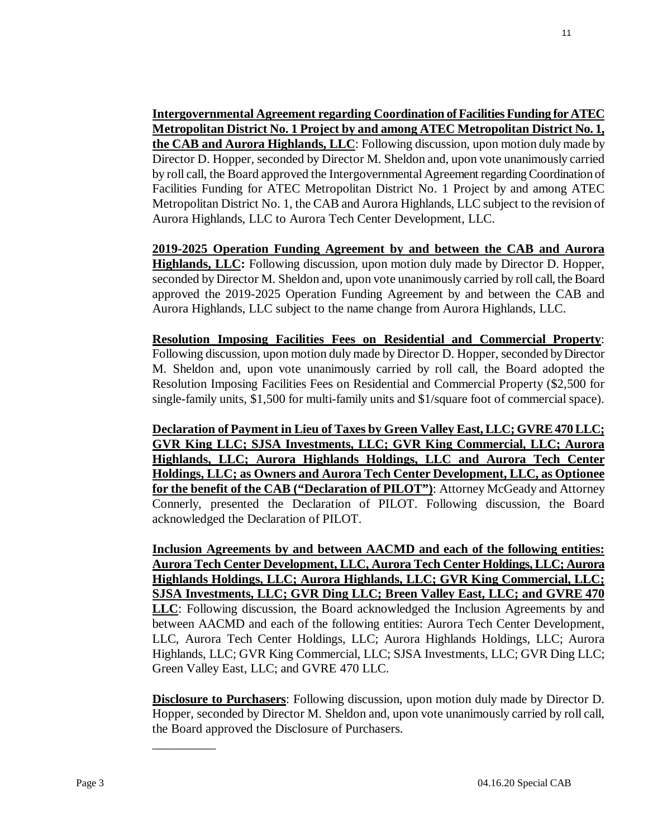**Intergovernmental Agreement regarding Coordination of Facilities Funding for ATEC Metropolitan District No. 1 Project by and among ATEC Metropolitan District No. 1, the CAB and Aurora Highlands, LLC**: Following discussion, upon motion duly made by Director D. Hopper, seconded by Director M. Sheldon and, upon vote unanimously carried by roll call, the Board approved the Intergovernmental Agreement regarding Coordination of Facilities Funding for ATEC Metropolitan District No. 1 Project by and among ATEC Metropolitan District No. 1, the CAB and Aurora Highlands, LLC subject to the revision of Aurora Highlands, LLC to Aurora Tech Center Development, LLC.

**2019-2025 Operation Funding Agreement by and between the CAB and Aurora Highlands, LLC:** Following discussion, upon motion duly made by Director D. Hopper, seconded by Director M. Sheldon and, upon vote unanimously carried by roll call, the Board approved the 2019-2025 Operation Funding Agreement by and between the CAB and Aurora Highlands, LLC subject to the name change from Aurora Highlands, LLC.

**Resolution Imposing Facilities Fees on Residential and Commercial Property**: Following discussion, upon motion duly made by Director D. Hopper, seconded by Director M. Sheldon and, upon vote unanimously carried by roll call, the Board adopted the Resolution Imposing Facilities Fees on Residential and Commercial Property (\$2,500 for single-family units, \$1,500 for multi-family units and \$1/square foot of commercial space).

**Declaration of Payment in Lieu of Taxes by Green Valley East, LLC; GVRE 470 LLC; GVR King LLC; SJSA Investments, LLC; GVR King Commercial, LLC; Aurora Highlands, LLC; Aurora Highlands Holdings, LLC and Aurora Tech Center Holdings, LLC; as Owners and Aurora Tech Center Development, LLC, as Optionee for the benefit of the CAB ("Declaration of PILOT")**: Attorney McGeady and Attorney Connerly, presented the Declaration of PILOT. Following discussion, the Board acknowledged the Declaration of PILOT.

**Inclusion Agreements by and between AACMD and each of the following entities: Aurora Tech Center Development, LLC, Aurora Tech Center Holdings, LLC; Aurora Highlands Holdings, LLC; Aurora Highlands, LLC; GVR King Commercial, LLC; SJSA Investments, LLC; GVR Ding LLC; Breen Valley East, LLC; and GVRE 470 LLC**: Following discussion, the Board acknowledged the Inclusion Agreements by and between AACMD and each of the following entities: Aurora Tech Center Development, LLC, Aurora Tech Center Holdings, LLC; Aurora Highlands Holdings, LLC; Aurora Highlands, LLC; GVR King Commercial, LLC; SJSA Investments, LLC; GVR Ding LLC; Green Valley East, LLC; and GVRE 470 LLC.

**Disclosure to Purchasers**: Following discussion, upon motion duly made by Director D. Hopper, seconded by Director M. Sheldon and, upon vote unanimously carried by roll call, the Board approved the Disclosure of Purchasers.

\_\_\_\_\_\_\_\_\_\_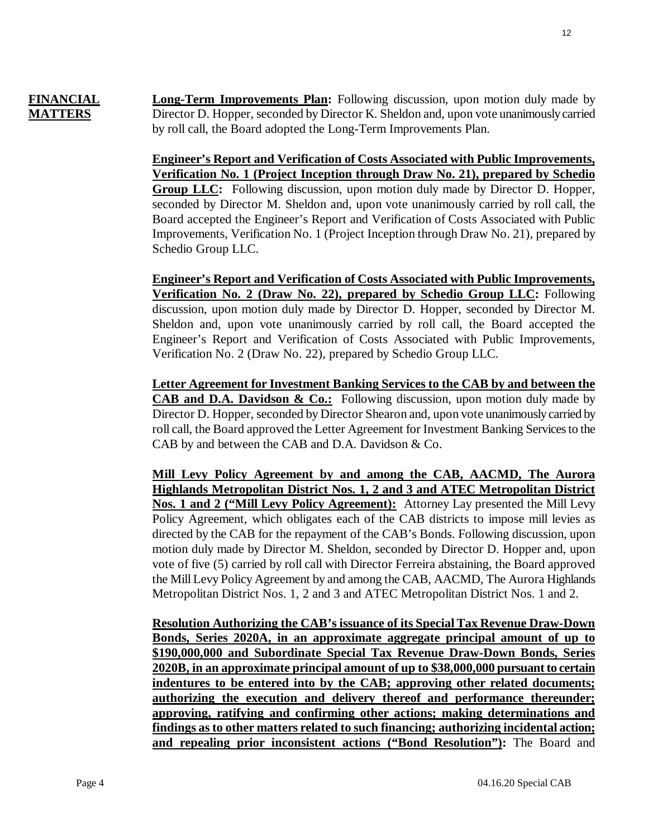# **FINANCIAL MATTERS**

**Long-Term Improvements Plan:** Following discussion, upon motion duly made by Director D. Hopper, seconded by Director K. Sheldon and, upon vote unanimously carried by roll call, the Board adopted the Long-Term Improvements Plan.

**Engineer's Report and Verification of Costs Associated with Public Improvements, Verification No. 1 (Project Inception through Draw No. 21), prepared by Schedio Group LLC:** Following discussion, upon motion duly made by Director D. Hopper, seconded by Director M. Sheldon and, upon vote unanimously carried by roll call, the Board accepted the Engineer's Report and Verification of Costs Associated with Public Improvements, Verification No. 1 (Project Inception through Draw No. 21), prepared by Schedio Group LLC.

**Engineer's Report and Verification of Costs Associated with Public Improvements, Verification No. 2 (Draw No. 22), prepared by Schedio Group LLC:** Following discussion, upon motion duly made by Director D. Hopper, seconded by Director M. Sheldon and, upon vote unanimously carried by roll call, the Board accepted the Engineer's Report and Verification of Costs Associated with Public Improvements, Verification No. 2 (Draw No. 22), prepared by Schedio Group LLC.

**Letter Agreement for Investment Banking Services to the CAB by and between the CAB and D.A. Davidson & Co.:** Following discussion, upon motion duly made by Director D. Hopper, seconded by Director Shearon and, upon vote unanimously carried by roll call, the Board approved the Letter Agreement for Investment Banking Services to the CAB by and between the CAB and D.A. Davidson & Co.

**Mill Levy Policy Agreement by and among the CAB, AACMD, The Aurora Highlands Metropolitan District Nos. 1, 2 and 3 and ATEC Metropolitan District Nos. 1 and 2 ("Mill Levy Policy Agreement):** Attorney Lay presented the Mill Levy Policy Agreement, which obligates each of the CAB districts to impose mill levies as directed by the CAB for the repayment of the CAB's Bonds. Following discussion, upon motion duly made by Director M. Sheldon, seconded by Director D. Hopper and, upon vote of five (5) carried by roll call with Director Ferreira abstaining, the Board approved the Mill Levy Policy Agreement by and among the CAB, AACMD, The Aurora Highlands Metropolitan District Nos. 1, 2 and 3 and ATEC Metropolitan District Nos. 1 and 2.

**Resolution Authorizing the CAB's issuance of its Special Tax Revenue Draw-Down Bonds, Series 2020A, in an approximate aggregate principal amount of up to \$190,000,000 and Subordinate Special Tax Revenue Draw-Down Bonds, Series 2020B, in an approximate principal amount of up to \$38,000,000 pursuant to certain indentures to be entered into by the CAB; approving other related documents; authorizing the execution and delivery thereof and performance thereunder; approving, ratifying and confirming other actions; making determinations and findings as to other matters related to such financing; authorizing incidental action; and repealing prior inconsistent actions ("Bond Resolution"):** The Board and